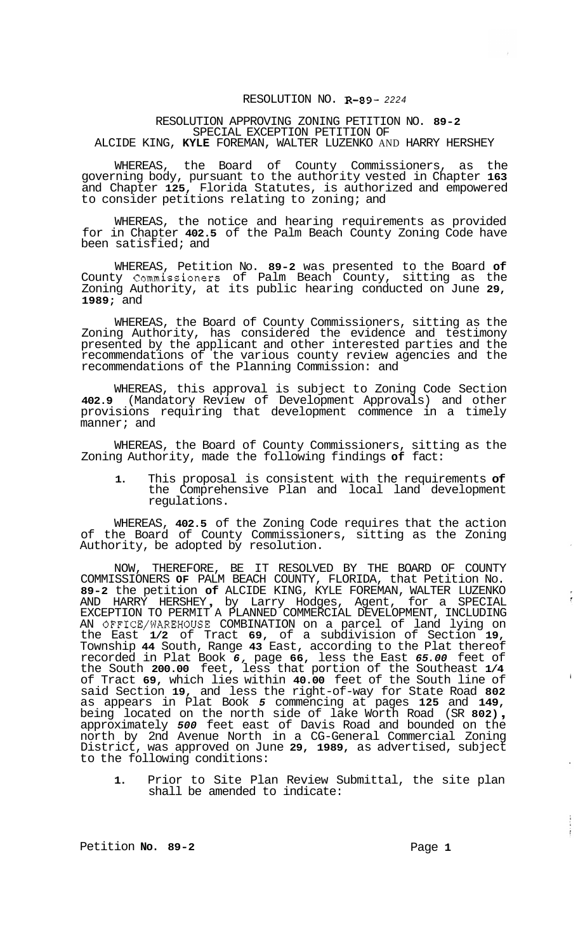## RESOLUTION NO. **R-89-** *<sup>2224</sup>*

## RESOLUTION APPROVING ZONING PETITION NO. **89-2**  SPECIAL EXCEPTION PETITION OF ALCIDE KING, **KYLE** FOREMAN, WALTER LUZENKO AND HARRY HERSHEY

WHEREAS, the Board of County Commissioners, as the governing body, pursuant to the authority vested in Chapter **163**  and Chapter **125,** Florida Statutes, is authorized and empowered to consider petitions relating to zoning; and

WHEREAS, the notice and hearing requirements as provided for in Chapter **402.5** of the Palm Beach County Zoning Code have been satisfied; and

WHEREAS, Petition No. **89-2** was presented to the Board **of**  County Commissioners of Palm Beach County, sitting as the Zoning Authority, at its public hearing conducted on June **29, 1989;** and

WHEREAS, the Board of County Commissioners, sitting as the Zoning Authority, has considered the evidence and testimony presented by the applicant and other interested parties and the recommendations of the various county review agencies and the recommendations of the Planning Commission: and

WHEREAS, this approval is subject to Zoning Code Section **402.9** (Mandatory Review of Development Approvals) and other provisions requiring that development commence in a timely manner; and

WHEREAS, the Board of County Commissioners, sitting as the Zoning Authority, made the following findings **of** fact:

**1.** This proposal is consistent with the requirements **of**  the Comprehensive Plan and local land development regulations.

WHEREAS, **402.5** of the Zoning Code requires that the action of the Board of County Commissioners, sitting as the Zoning Authority, be adopted by resolution.

NOW, THEREFORE, BE IT RESOLVED BY THE BOARD OF COUNTY COMMISSIONERS **OF** PALM BEACH COUNTY, FLORIDA, that Petition No. **89-2** the petition **of** ALCIDE KING, KYLE FOREMAN, WALTER LUZENKO 89-2 the petition of ALCIDE KING, KYLE FOREMAN, WALTER LUZENKO<br>AND HARRY HERSHEY, by Larry Hodges, Agent, for a SPECIAL EXCEPTION TO PERMIT A PLANNED COMMERCIAL DEVELOPMENT, INCLUDING AN OFFICE/WAREHOUSE COMBINATION on a parcel of land lying on the East **1/2** of Tract **69,** of a subdivision of Section **19,**  Township **44** South, Range **43** East, according to the Plat thereof recorded in Plat Book *6,* page **66,** less the East *65.00* feet of the South **200.00** feet, less that portion of the Southeast **1/4**  of Tract **69,** which lies within **40.00** feet of the South line of said Section **19,** and less the right-of-way for State Road **802**  as appears in Plat Book *5* commencing at pages **125** and **149,**  being located on the north side of lake Worth Road (SR **802)** , approximately *500* feet east of Davis Road and bounded on the north by 2nd Avenue North in a CG-General Commercial Zoning District, was approved on June **29, 1989,** as advertised, subject to the following conditions:

**1.** Prior to Site Plan Review Submittal, the site plan shall be amended to indicate:

Petition **No. 89-2** Page 1

i

 $\frac{1}{2}$  $\frac{1}{2}$ 

 $\hat{\mathcal{F}}$ 

 $\frac{1}{2}$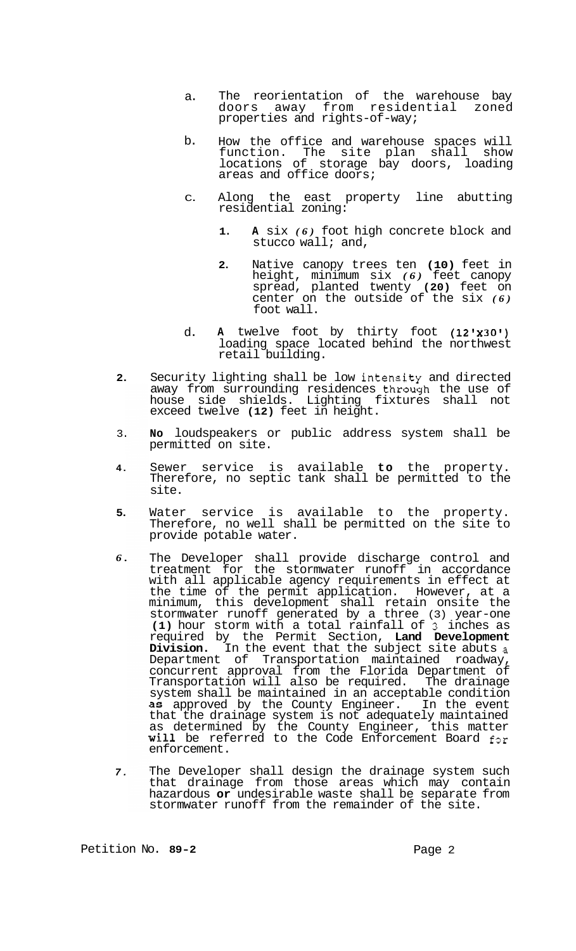- a. The reorientation of the warehouse bay doors away from residential zoned properties and rights-of-way;
- b. How the office and warehouse spaces will function. The site plan shall show locations of storage bay doors, loading areas and office doors;
- C. Along the east property line abutting residential zoning:
	- **1. A** six *(6)* foot high concrete block and stucco wall; and,
	- **2.** Native canopy trees ten **(10)** feet in height, minimum six *(6)* feet canopy spread, planted twenty **(20)** feet on center on the outside of the six *(6)*  foot wall.
- d. A twelve foot by thirty foot (12'x30') loading space located behind the northwest retail building.
- **2.**  Security lighting shall be low intensity and directed away from surrounding residences through the use of house side shields. Lighting fixtures shall not exceed twelve **(12)** feet in height.
- 3. **No** loudspeakers or public address system shall be permitted on site.
- **4.**  Sewer service is available **to** the property. Therefore, no septic tank shall be permitted to the site.
- **5.**  Water service is available to the property. Therefore, no well shall be permitted on the site to provide potable water.
- *6.*  The Developer shall provide discharge control and treatment for the stormwater runoff in accordance with all applicable agency requirements in effect at the time of the permit application. However, at a minimum, this development shall retain onsite the stormwater runoff generated by a three (3) year-one **(1)** hour storm with a total rainfall of 3 inches as required by the Permit Section, **Land Development Division.** In the event that the subject site abuts a Department of Transportation maintained roadway, concurrent approval from the Florida Department of Transportation will also be required. The drainage system shall be maintained in an acceptable condition as approved by the County Engineer. In the event that the drainage system is not adequately maintained as determined by the County Engineer, this matter Will be referred to the Code Enforcement Board for enforcement.
- *7.*  The Developer shall design the drainage system such that drainage from those areas which may contain hazardous **or** undesirable waste shall be separate from stormwater runoff from the remainder of the site.

Petition No. 89-2 **Page 2 Page 2**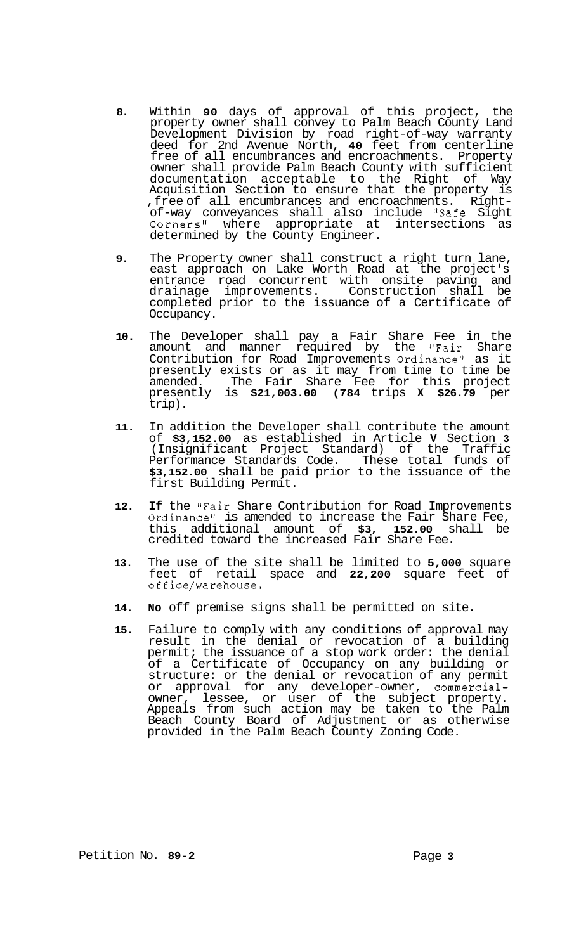- **8.** Within **90** days of approval of this project, the property owner shall convey to Palm Beach County Land Development Division by road right-of-way warranty deed for 2nd Avenue North, **40** feet from centerline free of all encumbrances and encroachments. Property owner shall provide Palm Beach County with sufficient documentation acceptable to the Right of Way Acquisition Section to ensure that the property is<br>, free of all encumbrances and encroachments. Right-,free of all encumbrances and encroachments. Right- of-way conveyances shall also include "Safe Sight Corners" where appropriate at intersections as determined by the County Engineer.
- **9.** The Property owner shall construct a right turn lane, east approach on Lake Worth Road at the project's entrance road concurrent with onsite paving and<br>drainage improvements. Construction shall be Construction shall be completed prior to the issuance of a Certificate of Occupancy.
- **10.** The Developer shall pay a Fair Share Fee in the amount and manner required by the "Fair Share Contribution for Road Improvements Ordinance" as it presently exists or as it may from time to time be amended. The Fair Share Fee for this project presently is **\$21,003.00 (784** trips **X \$26.79** per trip).
- **11.** In addition the Developer shall contribute the amount of **\$3,152.00** as established in Article **V** Section **3**  (Insignificant Project Standard) of the Traffic Performance Standards Code. These total funds of **\$3,152.00** shall be paid prior to the issuance of the first Building Permit.
- **12. If** the "Fair Share Contribution for Road Improvements Ordinance" is amended to increase the Fair Share Fee,<br>this additional amount of  $$3, 152.00$  shall be additional amount credited toward the increased Fair Share Fee.
- **13.** The use of the site shall be limited to **5,000** square feet of retail space and **22,200** square feet of office/warehouse.
- **14. No** off premise signs shall be permitted on site.
- **15.** Failure to comply with any conditions of approval may result in the denial or revocation of a building permit; the issuance of a stop work order: the denial of a Certificate of Occupancy on any building or structure: or the denial or revocation of any permit or approval for any developer-owner, commercialowner, lessee, or user of the subject property. Appeals from such action may be taken to the Palm Beach County Board of Adjustment or as otherwise provided in the Palm Beach County Zoning Code.